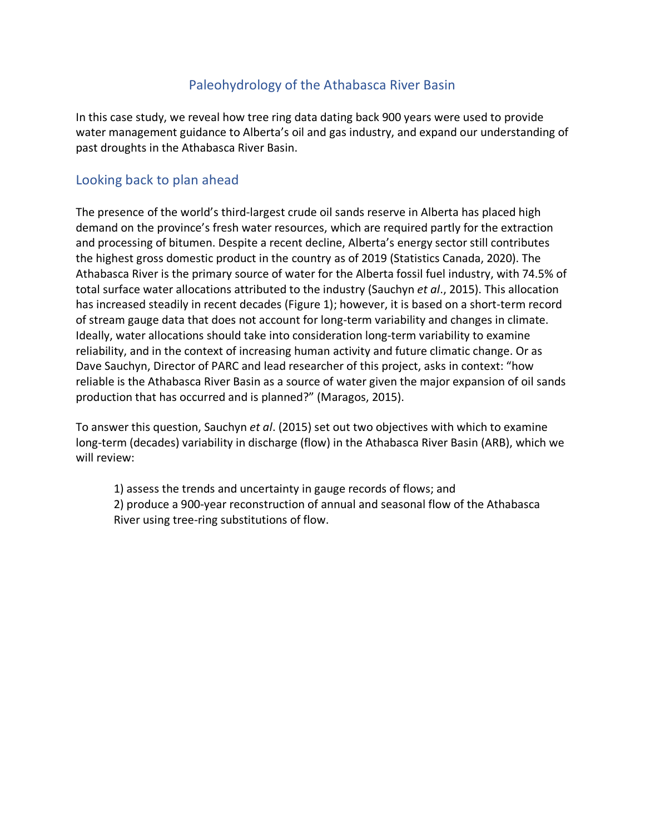### Paleohydrology of the Athabasca River Basin

In this case study, we reveal how tree ring data dating back 900 years were used to provide water management guidance to Alberta's oil and gas industry, and expand our understanding of past droughts in the Athabasca River Basin.

### Looking back to plan ahead

The presence of the world's third-largest crude oil sands reserve in Alberta has placed high demand on the province's fresh water resources, which are required partly for the extraction and processing of bitumen. Despite a recent decline, Alberta's energy sector still contributes the highest gross domestic product in the country as of 2019 (Statistics Canada, 2020). The Athabasca River is the primary source of water for the Alberta fossil fuel industry, with 74.5% of total surface water allocations attributed to the industry (Sauchyn *et al*., 2015). This allocation has increased steadily in recent decades (Figure 1); however, it is based on a short-term record of stream gauge data that does not account for long-term variability and changes in climate. Ideally, water allocations should take into consideration long-term variability to examine reliability, and in the context of increasing human activity and future climatic change. Or as Dave Sauchyn, Director of PARC and lead researcher of this project, asks in context: "how reliable is the Athabasca River Basin as a source of water given the major expansion of oil sands production that has occurred and is planned?" (Maragos, 2015).

To answer this question, Sauchyn *et al*. (2015) set out two objectives with which to examine long-term (decades) variability in discharge (flow) in the Athabasca River Basin (ARB), which we will review:

1) assess the trends and uncertainty in gauge records of flows; and 2) produce a 900-year reconstruction of annual and seasonal flow of the Athabasca River using tree-ring substitutions of flow.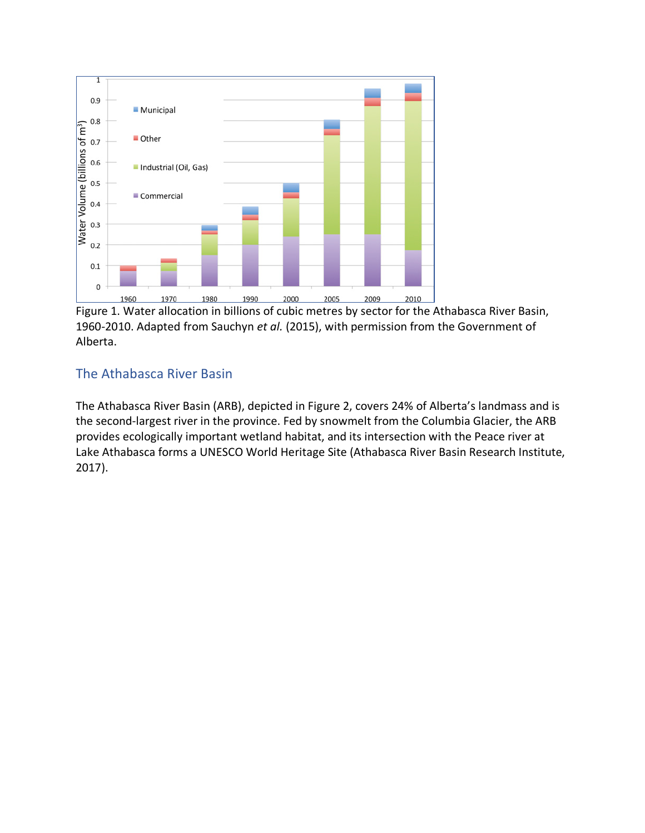

Figure 1. Water allocation in billions of cubic metres by sector for the Athabasca River Basin, 1960-2010. Adapted from Sauchyn *et al.* (2015), with permission from the Government of Alberta.

# The Athabasca River Basin

The Athabasca River Basin (ARB), depicted in Figure 2, covers 24% of Alberta's landmass and is the second-largest river in the province. Fed by snowmelt from the Columbia Glacier, the ARB provides ecologically important wetland habitat, and its intersection with the Peace river at Lake Athabasca forms a UNESCO World Heritage Site (Athabasca River Basin Research Institute, 2017).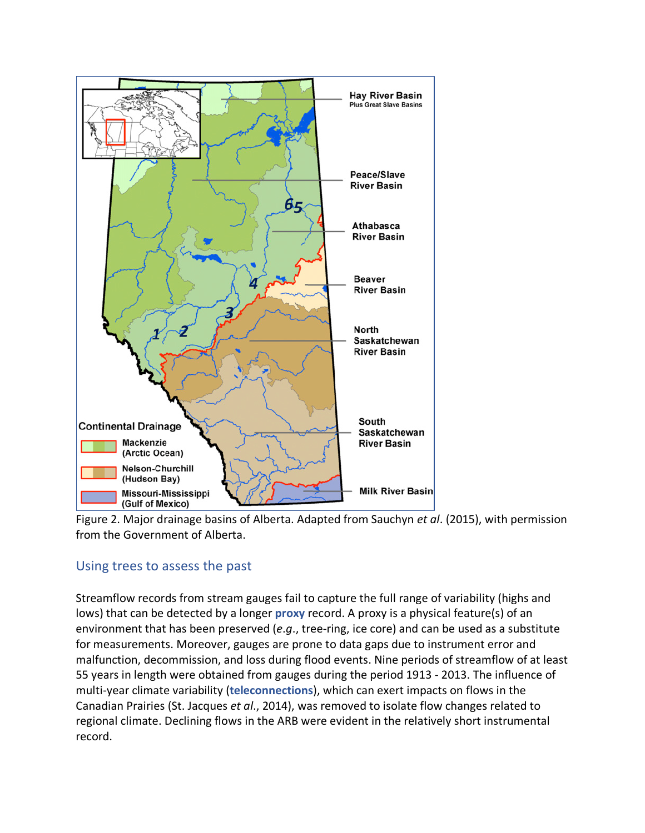

Figure 2. Major drainage basins of Alberta. Adapted from Sauchyn *et al*. (2015), with permission from the Government of Alberta.

# Using trees to assess the past

Streamflow records from stream gauges fail to capture the full range of variability (highs and lows) that can be detected by a longer **proxy** record. A proxy is a physical feature(s) of an environment that has been preserved (*e*.*g*., tree-ring, ice core) and can be used as a substitute for measurements. Moreover, gauges are prone to data gaps due to instrument error and malfunction, decommission, and loss during flood events. Nine periods of streamflow of at least 55 years in length were obtained from gauges during the period 1913 - 2013. The influence of multi-year climate variability (**teleconnections**), which can exert impacts on flows in the Canadian Prairies (St. Jacques *et al*., 2014), was removed to isolate flow changes related to regional climate. Declining flows in the ARB were evident in the relatively short instrumental record.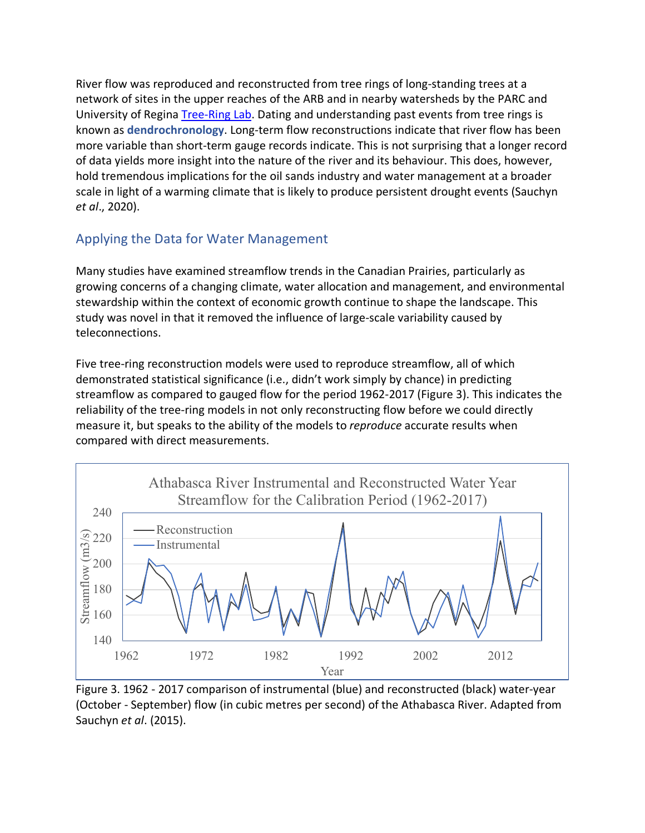River flow was reproduced and reconstructed from tree rings of long-standing trees at a network of sites in the upper reaches of the ARB and in nearby watersheds by the PARC and University of Regina Tree-Ring Lab. Dating and understanding past events from tree rings is known as **dendrochronology**. Long-term flow reconstructions indicate that river flow has been more variable than short-term gauge records indicate. This is not surprising that a longer record of data yields more insight into the nature of the river and its behaviour. This does, however, hold tremendous implications for the oil sands industry and water management at a broader scale in light of a warming climate that is likely to produce persistent drought events (Sauchyn *et al*., 2020).

# Applying the Data for Water Management

Many studies have examined streamflow trends in the Canadian Prairies, particularly as growing concerns of a changing climate, water allocation and management, and environmental stewardship within the context of economic growth continue to shape the landscape. This study was novel in that it removed the influence of large-scale variability caused by teleconnections.

Five tree-ring reconstruction models were used to reproduce streamflow, all of which demonstrated statistical significance (i.e., didn't work simply by chance) in predicting streamflow as compared to gauged flow for the period 1962-2017 (Figure 3). This indicates the reliability of the tree-ring models in not only reconstructing flow before we could directly measure it, but speaks to the ability of the models to *reproduce* accurate results when compared with direct measurements.



Figure 3. 1962 - 2017 comparison of instrumental (blue) and reconstructed (black) water-year (October - September) flow (in cubic metres per second) of the Athabasca River. Adapted from Sauchyn *et al*. (2015).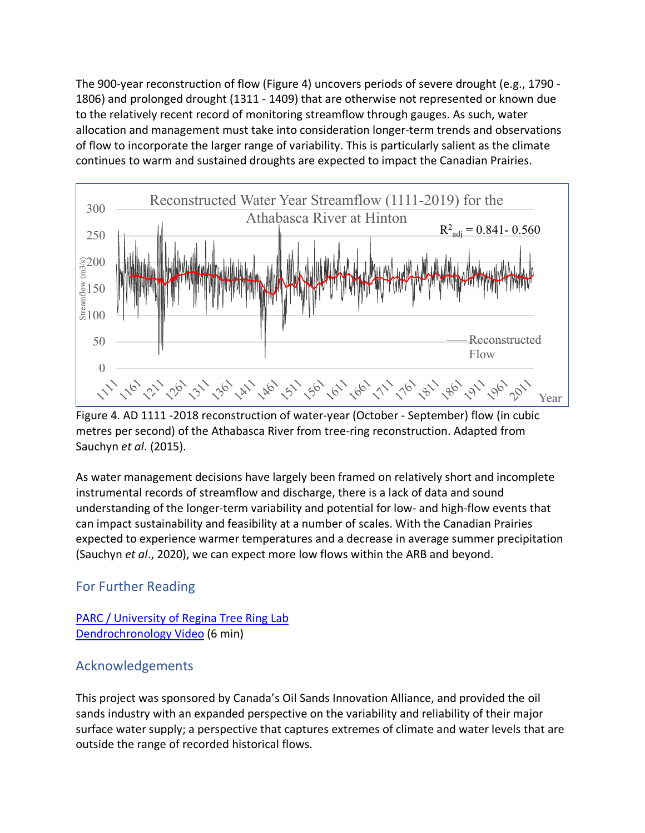The 900-year reconstruction of flow (Figure 4) uncovers periods of severe drought (e.g., 1790 - 1806) and prolonged drought (1311 - 1409) that are otherwise not represented or known due to the relatively recent record of monitoring streamflow through gauges. As such, water allocation and management must take into consideration longer-term trends and observations of flow to incorporate the larger range of variability. This is particularly salient as the climate continues to warm and sustained droughts are expected to impact the Canadian Prairies.



Figure 4. AD 1111 -2018 reconstruction of water-year (October - September) flow (in cubic metres per second) of the Athabasca River from tree-ring reconstruction. Adapted from Sauchyn *et al*. (2015).

As water management decisions have largely been framed on relatively short and incomplete instrumental records of streamflow and discharge, there is a lack of data and sound understanding of the longer-term variability and potential for low- and high-flow events that can impact sustainability and feasibility at a number of scales. With the Canadian Prairies expected to experience warmer temperatures and a decrease in average summer precipitation (Sauchyn *et al*., 2020), we can expect more low flows within the ARB and beyond.

# For Further Reading

#### PARC / University of Regina Tree Ring Lab Dendrochronology Video (6 min)

# Acknowledgements

This project was sponsored by Canada's Oil Sands Innovation Alliance, and provided the oil sands industry with an expanded perspective on the variability and reliability of their major surface water supply; a perspective that captures extremes of climate and water levels that are outside the range of recorded historical flows.